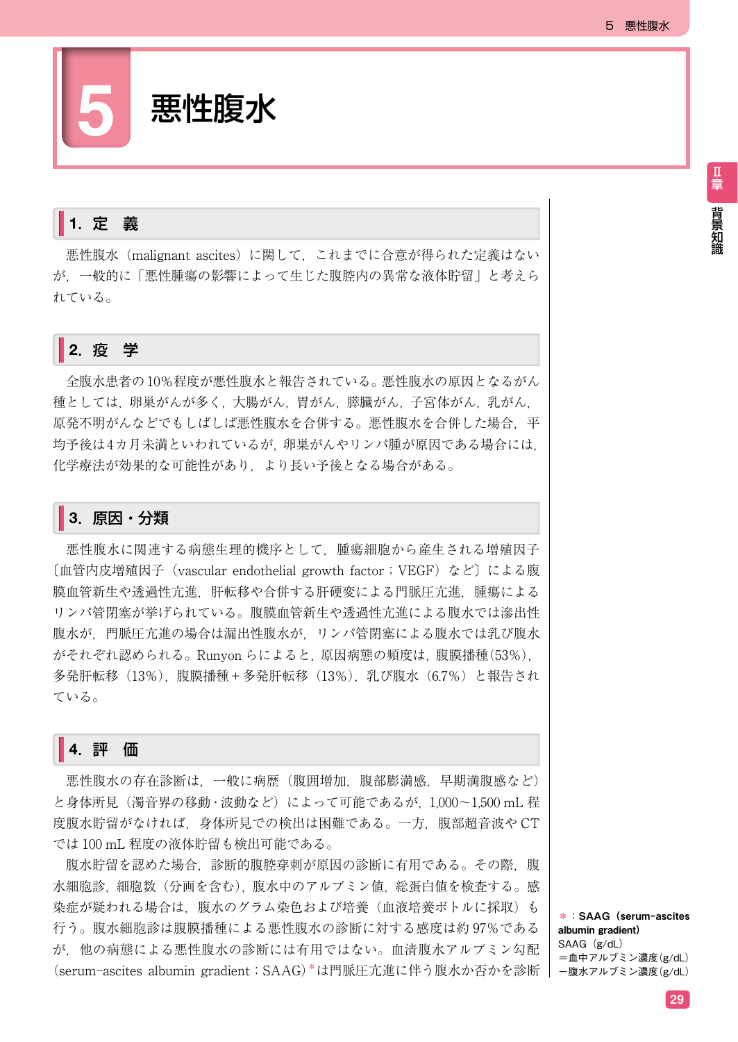# **5** 悪性腹水

## 1.定 義

悪性腹水 (malignant ascites) に関して、これまでに合意が得られた定義はない が,一般的に「悪性腫瘍の影響によって生じた腹腔内の異常な液体貯留」と考えら れている。



 全腹水患者の 10%程度が悪性腹水と報告されている。悪性腹水の原因となるがん 種としては、卵巣がんが多く、大腸がん、胃がん、膵臓がん、子宮体がん,乳がん, 原発不明がんなどでもしばしば悪性腹水を合併する。悪性腹水を合併した場合、平 均予後は4カ月未満といわれているが,卵巣がんやリンパ腫が原因である場合には, 化学療法が効果的な可能性があり,より長い予後となる場合がある。

### ■3. 原因・分類

 悪性腹水に関連する病態生理的機序として,腫瘍細胞から産生される増殖因子 〔血管内皮増殖因子(vascular endothelial growth factor;VEGF)など〕による腹 膜血管新生や透過性亢進、肝転移や合併する肝硬変による門脈圧亢進,腫瘍による リンパ管閉塞が挙げられている。腹膜血管新生や透過性亢進による腹水では滲出性 腹水が,門脈圧亢進の場合は漏出性腹水が,リンパ管閉塞による腹水では乳び腹水 がそれぞれ認められる。Runyon らによると,原因病態の頻度は,腹膜播種(53%), 多発肝転移(13%),腹膜播種+多発肝転移(13%),乳び腹水(6.7%)と報告され ている。

### 4.評 価

 悪性腹水の存在診断は,一般に病歴(腹囲増加,腹部膨満感,早期満腹感など) と身体所見(濁音界の移動・波動など)によって可能であるが,1,000~1,500 mL 程 度腹水貯留がなければ,身体所見での検出は困難である。一方,腹部超音波や CT では 100 mL 程度の液体貯留も検出可能である。

腹水貯留を認めた場合、診断的腹腔穿刺が原因の診断に有用である。その際、腹 水細胞診,細胞数(分画を含む),腹水中のアルブミン値,総蛋白値を検査する。感 染症が疑われる場合は、腹水のグラム染色および培養(血液培養ボトルに採取)も 行う。腹水細胞診は腹膜播種による悪性腹水の診断に対する感度は約 97%である が,他の病態による悪性腹水の診断には有用ではない。血清腹水アルブミン勾配 (serum-ascites albumin gradient;SAAG)\*は門脈圧亢進に伴う腹水か否かを診断 │ −腹水アルブミン濃度(g/dL)

\*:SAAG(serum—ascites albumin gradient) SAAG (g/dL) =血中アルブミン濃度(g/dL)